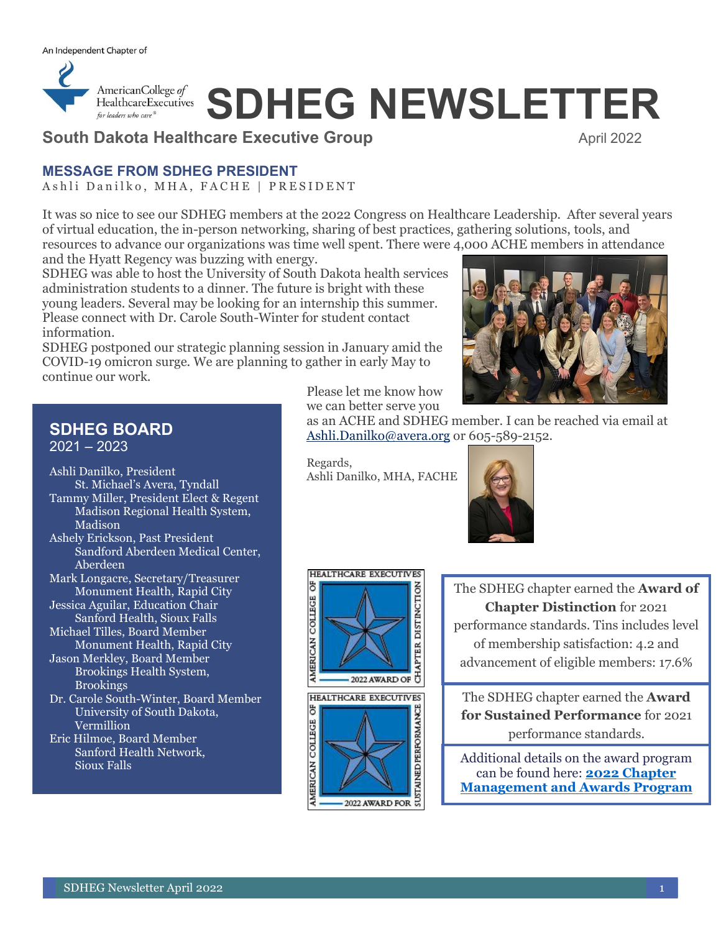

# *ExalthcareExecutives* SDHEG NEWSLETTER

## **South Dakota Healthcare Executive Group 
<b>Executive Couple April 2022**

#### **MESSAGE FROM SDHEG PRESIDENT**

Ashli Danilko, MHA, FACHE | PRESIDENT

It was so nice to see our SDHEG members at the 2022 Congress on Healthcare Leadership. After several years of virtual education, the in-person networking, sharing of best practices, gathering solutions, tools, and resources to advance our organizations was time well spent. There were 4,000 ACHE members in attendance

and the Hyatt Regency was buzzing with energy. SDHEG was able to host the University of South Dakota health services

administration students to a dinner. The future is bright with these young leaders. Several may be looking for an internship this summer. Please connect with Dr. Carole South-Winter for student contact information.

SDHEG postponed our strategic planning session in January amid the COVID-19 omicron surge. We are planning to gather in early May to continue our work.

Please let me know how we can better serve you

## **SDHEG BOARD**

2021 – 2023

Ashli Danilko, President St. Michael's Avera, Tyndall Tammy Miller, President Elect & Regent Madison Regional Health System, Madison Ashely Erickson, Past President Sandford Aberdeen Medical Center, Aberdeen Mark Longacre, Secretary/Treasurer Monument Health, Rapid City Jessica Aguilar, Education Chair Sanford Health, Sioux Falls Michael Tilles, Board Member Monument Health, Rapid City Jason Merkley, Board Member Brookings Health System, Brookings Dr. Carole South-Winter, Board Member University of South Dakota, Vermillion Eric Hilmoe, Board Member Sanford Health Network, Sioux Falls

Regards, Ashli Danilko, MHA, FACHE

[Ashli.Danilko@avera.org](mailto:Ashli.Danilko@avera.org) or 605-589-2152.



as an ACHE and SDHEG member. I can be reached via email at

The SDHEG chapter earned the **Award of Chapter Distinction** for 2021 performance standards. Tins includes level of membership satisfaction: 4.2 and advancement of eligible members: 17.6%

The SDHEG chapter earned the **Award for Sustained Performance** for 2021 performance standards.

Additional details on the award program can be found here: **[2022 Chapter](https://protect2.fireeye.com/v1/url?k=84cdd42f-db56ed1e-84cceb75-000babe40669-d917b2c1cc618c08&q=1&e=6765fa82-cf55-4867-840f-b7b49a896a0a&u=https%3A%2F%2Fwww.ache.org%2Fchapters%2Fchapter-service-center%2Fchapter-awards%2Fchapter-management-and-awards-program)  [Management and Awards Program](https://protect2.fireeye.com/v1/url?k=84cdd42f-db56ed1e-84cceb75-000babe40669-d917b2c1cc618c08&q=1&e=6765fa82-cf55-4867-840f-b7b49a896a0a&u=https%3A%2F%2Fwww.ache.org%2Fchapters%2Fchapter-service-center%2Fchapter-awards%2Fchapter-management-and-awards-program)**

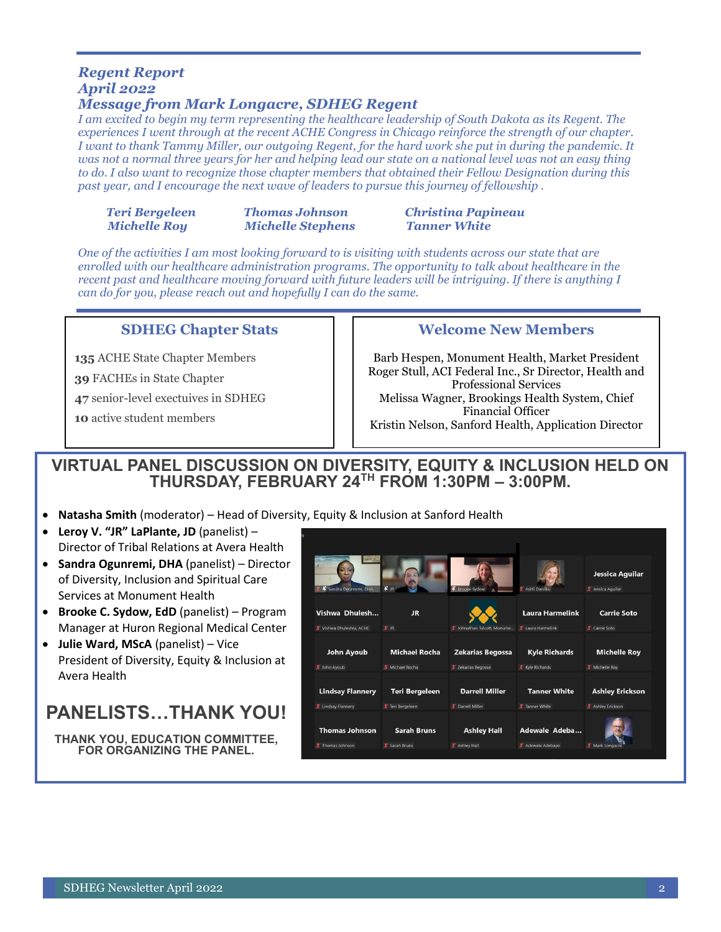# *Regent Report April 2022*

#### *Message from Mark Longacre, SDHEG Regent*

*I am excited to begin my term representing the healthcare leadership of South Dakota as its Regent. The experiences I went through at the recent ACHE Congress in Chicago reinforce the strength of our chapter. I want to thank Tammy Miller, our outgoing Regent, for the hard work she put in during the pandemic. It*  was not a normal three years for her and helping lead our state on a national level was not an easy thing *to do. I also want to recognize those chapter members that obtained their Fellow Designation during this past year, and I encourage the next wave of leaders to pursue this journey of fellowship .*

|              | Teri Bergeleen |
|--------------|----------------|
| Michelle Roy |                |

*Michelle Roy Michelle Stephens Tanner White*

# *Thomas Johnson Christina Papineau*

*One of the activities I am most looking forward to is visiting with students across our state that are enrolled with our healthcare administration programs. The opportunity to talk about healthcare in the recent past and healthcare moving forward with future leaders will be intriguing. If there is anything I can do for you, please reach out and hopefully I can do the same.*

#### **SDHEG Chapter Stats**

**135** ACHE State Chapter Members

**39** FACHEs in State Chapter

**47** senior-level exectuives in SDHEG

**10** active student members

#### **Welcome New Members**

Barb Hespen, Monument Health, Market President Roger Stull, ACI Federal Inc., Sr Director, Health and Professional Services Melissa Wagner, Brookings Health System, Chief Financial Officer Kristin Nelson, Sanford Health, Application Director

### **VIRTUAL PANEL DISCUSSION ON DIVERSITY, EQUITY & INCLUSION HELD ON THURSDAY, FEBRUARY 24TH FROM 1:30PM – 3:00PM.**

- **Natasha Smith** (moderator) Head of Diversity, Equity & Inclusion at Sanford Health
- **Leroy V. "JR" LaPlante, JD** (panelist) Director of Tribal Relations at Avera Health
- **Sandra Ogunremi, DHA** (panelist) Director of Diversity, Inclusion and Spiritual Care Services at Monument Health
- **Brooke C. Sydow, EdD** (panelist) Program Manager at Huron Regional Medical Center
- **Julie Ward, MScA** (panelist) Vice President of Diversity, Equity & Inclusion at Avera Health

# **PANELISTS…THANK YOU!**

**THANK YOU, EDUCATION COMMITTEE, FOR ORGANIZING THE PANEL.**